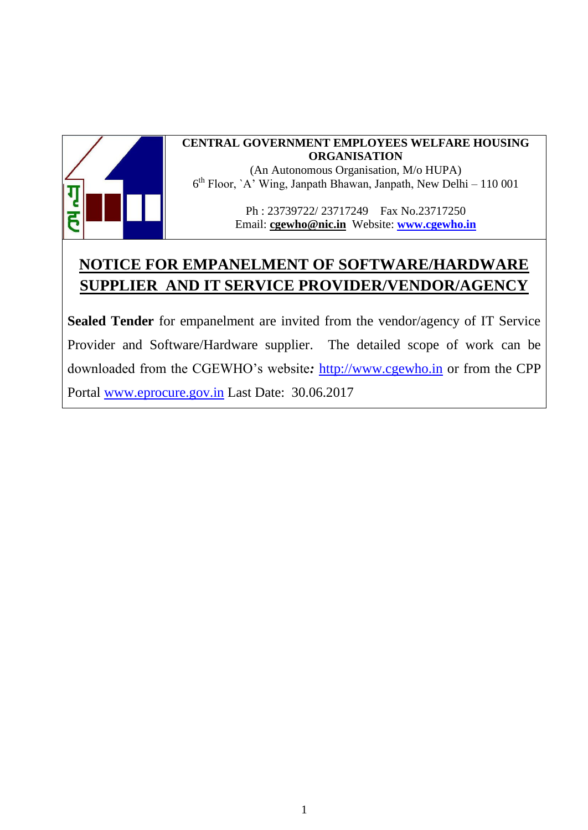

#### **CENTRAL GOVERNMENT EMPLOYEES WELFARE HOUSING ORGANISATION**

(An Autonomous Organisation, M/o HUPA) 6 th Floor, `A' Wing, Janpath Bhawan, Janpath, New Delhi – 110 001

> Ph : 23739722/ 23717249 Fax No.23717250 Email: **[cgewho@nic.in](mailto:cgewho@nic.in)** Website: **[www.cgewho.in](http://www.cgewho.in/)**

# **NOTICE FOR EMPANELMENT OF SOFTWARE/HARDWARE SUPPLIER AND IT SERVICE PROVIDER/VENDOR/AGENCY**

**Sealed Tender** for empanelment are invited from the vendor/agency of IT Service Provider and Software/Hardware supplier. The detailed scope of work can be downloaded from the CGEWHO's website*:* [http://www.cgewho.in](http://www.cgewho.in/) or from the CPP Portal [www.eprocure.gov.in](http://www.eprocure.gov.in/) Last Date: 30.06.2017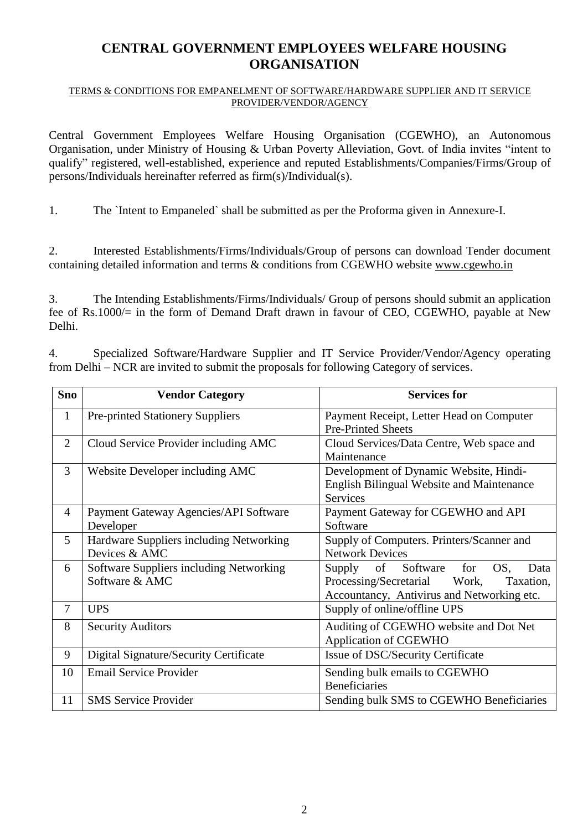### **CENTRAL GOVERNMENT EMPLOYEES WELFARE HOUSING ORGANISATION**

#### TERMS & CONDITIONS FOR EMPANELMENT OF SOFTWARE/HARDWARE SUPPLIER AND IT SERVICE PROVIDER/VENDOR/AGENCY

Central Government Employees Welfare Housing Organisation (CGEWHO), an Autonomous Organisation, under Ministry of Housing & Urban Poverty Alleviation, Govt. of India invites "intent to qualify" registered, well-established, experience and reputed Establishments/Companies/Firms/Group of persons/Individuals hereinafter referred as firm(s)/Individual(s).

1. The `Intent to Empaneled` shall be submitted as per the Proforma given in Annexure-I.

2. Interested Establishments/Firms/Individuals/Group of persons can download Tender document containing detailed information and terms & conditions from CGEWHO website [www.cgewho.in](http://www.cgewho.in/)

3. The Intending Establishments/Firms/Individuals/ Group of persons should submit an application fee of Rs.1000/= in the form of Demand Draft drawn in favour of CEO, CGEWHO, payable at New Delhi.

4. Specialized Software/Hardware Supplier and IT Service Provider/Vendor/Agency operating from Delhi – NCR are invited to submit the proposals for following Category of services.

| <b>Sno</b>     | <b>Vendor Category</b>                                    | <b>Services for</b>                                                                                                                       |
|----------------|-----------------------------------------------------------|-------------------------------------------------------------------------------------------------------------------------------------------|
| $\mathbf{1}$   | <b>Pre-printed Stationery Suppliers</b>                   | Payment Receipt, Letter Head on Computer<br><b>Pre-Printed Sheets</b>                                                                     |
| $\overline{2}$ | Cloud Service Provider including AMC                      | Cloud Services/Data Centre, Web space and<br>Maintenance                                                                                  |
| 3              | Website Developer including AMC                           | Development of Dynamic Website, Hindi-<br><b>English Bilingual Website and Maintenance</b><br><b>Services</b>                             |
| $\overline{4}$ | Payment Gateway Agencies/API Software<br>Developer        | Payment Gateway for CGEWHO and API<br>Software                                                                                            |
| 5              | Hardware Suppliers including Networking<br>Devices & AMC  | Supply of Computers. Printers/Scanner and<br><b>Network Devices</b>                                                                       |
| 6              | Software Suppliers including Networking<br>Software & AMC | for<br>of<br>Software<br>OS,<br>Supply<br>Data<br>Processing/Secretarial Work,<br>Taxation,<br>Accountancy, Antivirus and Networking etc. |
| $\overline{7}$ | <b>UPS</b>                                                | Supply of online/offline UPS                                                                                                              |
| 8              | <b>Security Auditors</b>                                  | Auditing of CGEWHO website and Dot Net<br><b>Application of CGEWHO</b>                                                                    |
| 9              | Digital Signature/Security Certificate                    | Issue of DSC/Security Certificate                                                                                                         |
| 10             | <b>Email Service Provider</b>                             | Sending bulk emails to CGEWHO<br><b>Beneficiaries</b>                                                                                     |
| 11             | <b>SMS</b> Service Provider                               | Sending bulk SMS to CGEWHO Beneficiaries                                                                                                  |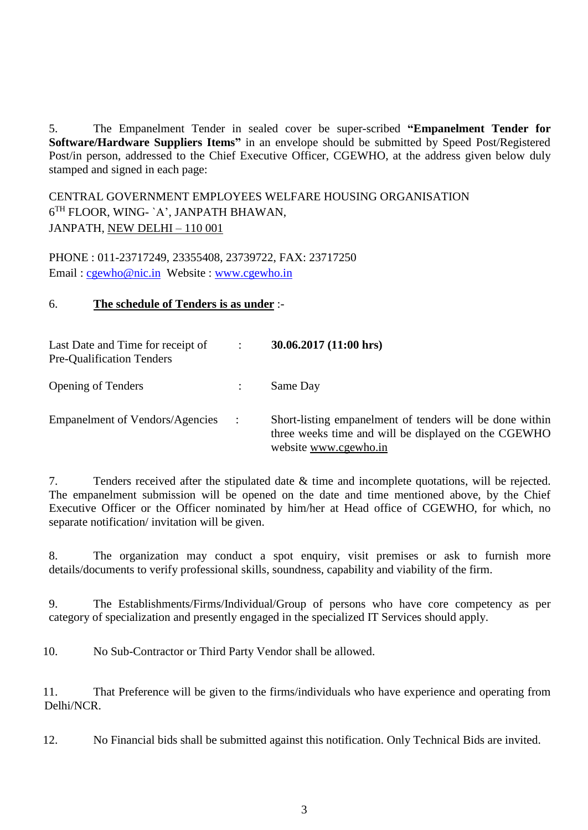5. The Empanelment Tender in sealed cover be super-scribed **"Empanelment Tender for Software/Hardware Suppliers Items"** in an envelope should be submitted by Speed Post/Registered Post/in person, addressed to the Chief Executive Officer, CGEWHO, at the address given below duly stamped and signed in each page:

CENTRAL GOVERNMENT EMPLOYEES WELFARE HOUSING ORGANISATION 6 TH FLOOR, WING- `A', JANPATH BHAWAN, JANPATH, NEW DELHI – 110 001

PHONE : 011-23717249, 23355408, 23739722, FAX: 23717250 Email : [cgewho@nic.in](mailto:cgewho@nic.in) Website : [www.cgewho.in](http://www.cgewho.in/)

#### 6. **The schedule of Tenders is as under** :-

| Last Date and Time for receipt of<br><b>Pre-Qualification Tenders</b> | $\ddot{\cdot}$ | 30.06.2017(11:00 hrs)                                                                                                                     |
|-----------------------------------------------------------------------|----------------|-------------------------------------------------------------------------------------------------------------------------------------------|
| <b>Opening of Tenders</b>                                             |                | Same Day                                                                                                                                  |
| <b>Empanelment of Vendors/Agencies</b>                                | $\mathcal{L}$  | Short-listing empanelment of tenders will be done within<br>three weeks time and will be displayed on the CGEWHO<br>website www.cgewho.in |

7. Tenders received after the stipulated date & time and incomplete quotations, will be rejected. The empanelment submission will be opened on the date and time mentioned above, by the Chief Executive Officer or the Officer nominated by him/her at Head office of CGEWHO, for which, no separate notification/ invitation will be given.

8. The organization may conduct a spot enquiry, visit premises or ask to furnish more details/documents to verify professional skills, soundness, capability and viability of the firm.

9. The Establishments/Firms/Individual/Group of persons who have core competency as per category of specialization and presently engaged in the specialized IT Services should apply.

10. No Sub-Contractor or Third Party Vendor shall be allowed.

11. That Preference will be given to the firms/individuals who have experience and operating from Delhi/NCR.

12. No Financial bids shall be submitted against this notification. Only Technical Bids are invited.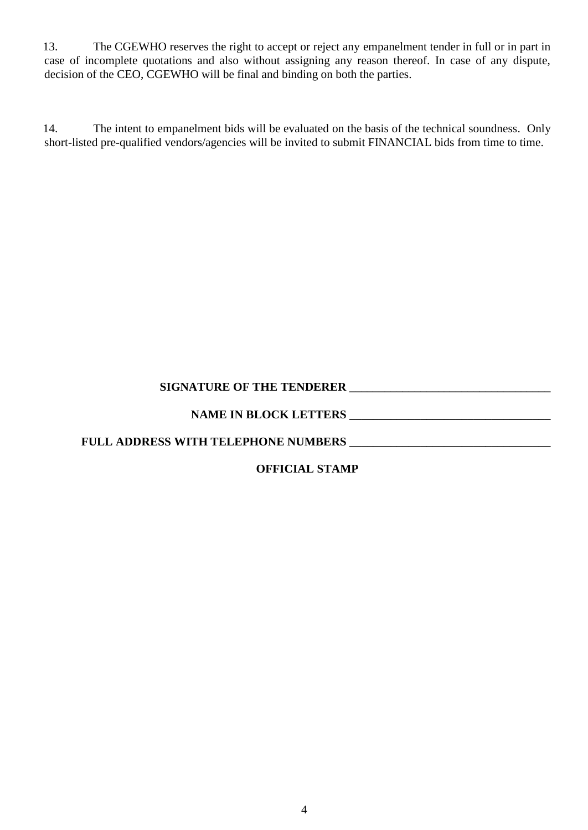13. The CGEWHO reserves the right to accept or reject any empanelment tender in full or in part in case of incomplete quotations and also without assigning any reason thereof. In case of any dispute, decision of the CEO, CGEWHO will be final and binding on both the parties.

14. The intent to empanelment bids will be evaluated on the basis of the technical soundness. Only short-listed pre-qualified vendors/agencies will be invited to submit FINANCIAL bids from time to time.

### **SIGNATURE OF THE TENDERER \_\_\_\_\_\_\_\_\_\_\_\_\_\_\_\_\_\_\_\_\_\_\_\_\_\_\_\_\_\_\_\_\_\_**

### **NAME IN BLOCK LETTERS \_\_\_\_\_\_\_\_\_\_\_\_\_\_\_\_\_\_\_\_\_\_\_\_\_\_\_\_\_\_\_\_\_\_**

**FULL ADDRESS WITH TELEPHONE NUMBERS \_\_\_\_\_\_\_\_\_\_\_\_\_\_\_\_\_\_\_\_\_\_\_\_\_\_\_\_\_\_\_\_\_\_**

### **OFFICIAL STAMP**